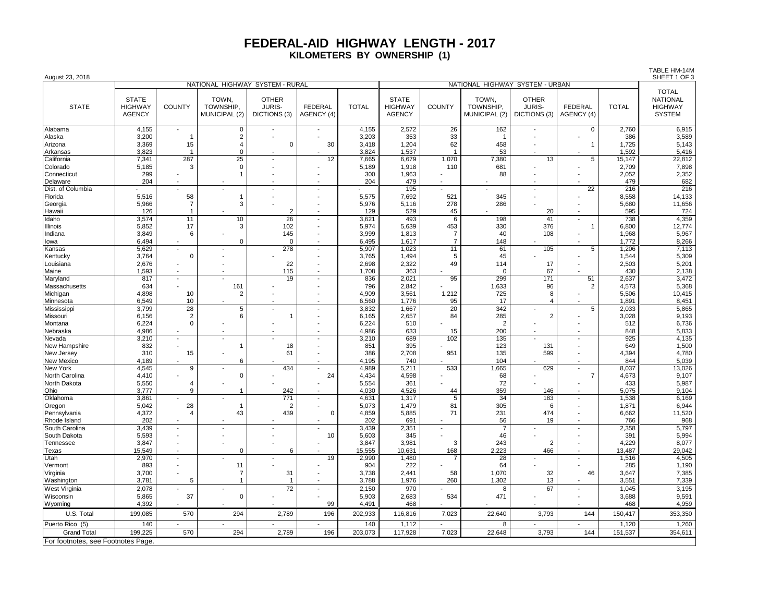## **FEDERAL-AID HIGHWAY LENGTH - 2017 KILOMETERS BY OWNERSHIP (1)**

TABLE HM-14M

| August 23, 2018                    |                                                 |                          |                                     |                                               |                              |                |                                                 |                |                                     |                                        |                                          |              | SHEET 1 OF 3                                                       |
|------------------------------------|-------------------------------------------------|--------------------------|-------------------------------------|-----------------------------------------------|------------------------------|----------------|-------------------------------------------------|----------------|-------------------------------------|----------------------------------------|------------------------------------------|--------------|--------------------------------------------------------------------|
|                                    |                                                 |                          | NATIONAL HIGHWAY SYSTEM - RURAL     |                                               |                              |                |                                                 |                | NATIONAL HIGHWAY SYSTEM - URBAN     |                                        |                                          |              |                                                                    |
| <b>STATE</b>                       | <b>STATE</b><br><b>HIGHWAY</b><br><b>AGENCY</b> | <b>COUNTY</b>            | TOWN,<br>TOWNSHIP,<br>MUNICIPAL (2) | <b>OTHER</b><br><b>JURIS-</b><br>DICTIONS (3) | <b>FEDERAL</b><br>AGENCY (4) | <b>TOTAL</b>   | <b>STATE</b><br><b>HIGHWAY</b><br><b>AGENCY</b> | <b>COUNTY</b>  | TOWN,<br>TOWNSHIP.<br>MUNICIPAL (2) | <b>OTHER</b><br>JURIS-<br>DICTIONS (3) | <b>FEDERAL</b><br>AGENCY (4)             | <b>TOTAL</b> | <b>TOTAL</b><br><b>NATIONAL</b><br><b>HIGHWAY</b><br><b>SYSTEM</b> |
| Alabama                            | 4,155                                           | $\overline{\phantom{a}}$ | 0                                   |                                               |                              | 4,155          | 2,572                                           | 26             | 162                                 | $\overline{\phantom{a}}$               | 0                                        | 2,760        | 6,915                                                              |
| Alaska                             | 3,200                                           |                          | $\overline{2}$                      |                                               |                              | 3,203          | 353                                             | 33             | $\overline{\phantom{a}}$            |                                        |                                          | 386          | 3,589                                                              |
| Arizona                            | 3,369                                           | 15                       | $\overline{4}$                      | $\mathbf 0$                                   | 30                           | 3,418          | 1,204                                           | 62             | 458                                 |                                        | $\mathbf{1}$                             | 1,725        | 5,143                                                              |
| Arkansas                           | 3,823                                           | $\overline{1}$           | $\mathbf 0$                         |                                               |                              | 3,824          | 1,537                                           | $\overline{1}$ | 53                                  |                                        |                                          | 1,592        | 5,416                                                              |
| California                         | 7,341                                           | 287                      | 25                                  | $\blacksquare$                                | 12                           | 7,665          | 6.679                                           | 1.070          | 7,380                               | 13                                     | 5                                        | 15,147       | 22,812                                                             |
| Colorado                           | 5,185                                           | 3                        | $\Omega$                            |                                               |                              | 5,189          | 1,918                                           | 110            | 681                                 |                                        |                                          | 2,709        | 7,898                                                              |
| Connecticut                        | 299                                             |                          | $\overline{1}$                      |                                               |                              | 300            | 1,963                                           |                | 88                                  |                                        |                                          | 2,052        | 2,352                                                              |
| Delaware                           | 204                                             |                          |                                     |                                               |                              | 204            | 479                                             |                |                                     |                                        |                                          | 479          | 682                                                                |
| Dist. of Columbia                  |                                                 |                          |                                     | $\overline{a}$                                |                              |                | 195                                             |                |                                     | $\overline{\phantom{a}}$               | 22                                       | 216          | 216                                                                |
| Florida                            | 5,516                                           | 58                       | -1                                  |                                               |                              | 5,575          | 7,692                                           | 521            | 345                                 |                                        |                                          | 8,558        | 14,133                                                             |
| Georgia                            | 5,966                                           | 7                        | 3                                   |                                               |                              | 5,976          | 5,116                                           | 278            | 286                                 |                                        |                                          | 5,680        | 11,656                                                             |
| Hawaii                             | 126                                             | $\mathbf{1}$<br>11       |                                     | $\overline{2}$                                | $\sim$                       | 129            | 529                                             | 45             |                                     | 20                                     |                                          | 595          | 724                                                                |
| Idaho<br>Illinois                  | 3,574<br>5,852                                  | 17                       | 10<br>3                             | 26<br>102                                     |                              | 3,621<br>5,974 | 493<br>5,639                                    | 6<br>453       | 198<br>330                          | 41<br>376                              | $\overline{\phantom{a}}$<br>$\mathbf{1}$ | 738<br>6,800 | 4,359<br>12,774                                                    |
| Indiana                            | 3,849                                           | 6                        |                                     | 145                                           |                              | 3,999          | 1,813                                           | $\overline{7}$ | 40                                  | 108                                    | $\blacksquare$                           | 1,968        | 5,967                                                              |
| lowa                               | 6,494                                           |                          | $\Omega$                            | $\Omega$                                      |                              | 6,495          | 1,617                                           | $\overline{7}$ | 148                                 |                                        |                                          | 1.772        | 8,266                                                              |
| Kansas                             | 5,629                                           | $\sim$                   |                                     | 278                                           | $\sim$                       | 5,907          | 1,023                                           | 11             | 61                                  | 105                                    | 5                                        | 1,206        | 7,113                                                              |
| Kentucky                           | 3,764                                           | $\mathbf 0$              |                                     |                                               |                              | 3,765          | 1,494                                           | 5              | 45                                  |                                        |                                          | 1,544        | 5,309                                                              |
| Louisiana                          | 2,676                                           |                          |                                     | 22                                            |                              | 2,698          | 2,322                                           | 49             | 114                                 | 17                                     |                                          | 2,503        | 5,201                                                              |
| Maine                              | 1,593                                           |                          |                                     | 115                                           |                              | 1,708          | 363                                             |                | $\mathbf 0$                         | 67                                     |                                          | 430          | 2,138                                                              |
| Maryland                           | 817                                             | $\sim$                   |                                     | 19                                            |                              | 836            | 2,021                                           | 95             | 299                                 | 171                                    | 51                                       | 2,637        | 3,472                                                              |
| Massachusetts                      | 634                                             |                          | 161                                 |                                               |                              | 796            | 2,842                                           |                | 1,633                               | 96                                     | $\overline{c}$                           | 4,573        | 5,368                                                              |
| Michigan                           | 4,898                                           | 10                       | 2                                   |                                               |                              | 4,909          | 3,561                                           | 1,212          | 725                                 | 8                                      |                                          | 5,506        | 10,415                                                             |
| Minnesota                          | 6,549                                           | 10                       |                                     |                                               |                              | 6,560          | 1.776                                           | 95             | 17                                  | 4                                      |                                          | 1,891        | 8,451                                                              |
| Mississippi                        | 3,799                                           | 28                       | $\overline{5}$                      | $\sim$                                        |                              | 3,832          | 1,667                                           | 20             | 342                                 | ÷,                                     | 5                                        | 2,033        | 5,865                                                              |
| Missouri                           | 6,156                                           | $\overline{2}$           | 6                                   | 1                                             |                              | 6,165          | 2,657                                           | 84             | 285                                 | $\overline{2}$                         |                                          | 3,028        | 9,193                                                              |
| Montana                            | 6,224                                           | $\Omega$                 |                                     |                                               |                              | 6,224          | 510                                             |                | $\overline{2}$                      |                                        |                                          | 512          | 6,736                                                              |
| Nebraska                           | 4,986                                           |                          |                                     |                                               | $\overline{a}$               | 4,986          | 633<br>689                                      | 15<br>102      | 200<br>135                          |                                        | $\overline{a}$                           | 848<br>925   | 5,833                                                              |
| Nevada<br>New Hampshire            | 3,210<br>832                                    |                          | $\mathbf 1$                         | 18                                            |                              | 3,210<br>851   | 395                                             |                | 123                                 | 131                                    | ÷,                                       | 649          | 4,135<br>1,500                                                     |
| New Jersey                         | 310                                             | 15                       |                                     | 61                                            |                              | 386            | 2,708                                           | 951            | 135                                 | 599                                    | L,                                       | 4,394        | 4,780                                                              |
| New Mexico                         | 4,189                                           |                          | 6                                   |                                               |                              | 4,195          | 740                                             |                | 104                                 |                                        |                                          | 844          | 5,039                                                              |
| New York                           | 4,545                                           | 9                        |                                     | 434                                           | $\overline{\phantom{a}}$     | 4,989          | 5,211                                           | 533            | 1,665                               | 629                                    | $\overline{\phantom{a}}$                 | 8,037        | 13,026                                                             |
| North Carolina                     | 4,410                                           |                          | $\mathbf 0$                         |                                               | 24                           | 4,434          | 4,598                                           |                | 68                                  |                                        | $\overline{7}$                           | 4,673        | 9,107                                                              |
| North Dakota                       | 5,550                                           | $\overline{4}$           |                                     |                                               |                              | 5,554          | 361                                             |                | 72                                  |                                        | ÷,                                       | 433          | 5,987                                                              |
| Ohio                               | 3,777                                           | 9                        |                                     | 242                                           |                              | 4,030          | 4,526                                           | 44             | 359                                 | 146                                    |                                          | 5,075        | 9,104                                                              |
| Oklahoma                           | 3,861                                           |                          |                                     | 771                                           |                              | 4,631          | 1,317                                           | $\overline{5}$ | 34                                  | 183                                    | $\overline{a}$                           | 1,538        | 6,169                                                              |
| Oregon                             | 5,042                                           | 28                       | -1                                  | $\overline{2}$                                |                              | 5,073          | 1,479                                           | 81             | 305                                 | 6                                      |                                          | 1,871        | 6,944                                                              |
| Pennsylvania                       | 4,372                                           | $\overline{4}$           | 43                                  | 439                                           | 0                            | 4,859          | 5,885                                           | 71             | 231                                 | 474                                    |                                          | 6,662        | 11,520                                                             |
| Rhode Island                       | 202                                             |                          |                                     |                                               |                              | 202            | 691                                             |                | 56                                  | 19                                     |                                          | 766          | 968                                                                |
| South Carolina                     | 3,439                                           | $\blacksquare$           |                                     | $\overline{\phantom{a}}$                      |                              | 3,439          | 2,351                                           | $\blacksquare$ | $\overline{7}$                      | $\blacksquare$                         | $\blacksquare$                           | 2,358        | 5,797                                                              |
| South Dakota                       | 5,593<br>3.847                                  |                          |                                     |                                               | 10                           | 5,603<br>3,847 | 345<br>3,981                                    | 3              | 46<br>243                           |                                        | $\overline{a}$                           | 391<br>4,229 | 5,994<br>8,077                                                     |
| Tennessee<br>Texas                 | 15,549                                          |                          | $\mathbf 0$                         | 6                                             |                              | 15,555         | 10,631                                          | 168            | 2,223                               | $\overline{c}$<br>466                  | ÷,                                       | 13,487       | 29,042                                                             |
| Utah                               | 2,970                                           |                          |                                     |                                               | 19                           | 2,990          | 1,480                                           |                | 28                                  |                                        | ÷,                                       | 1,516        | 4,505                                                              |
| Vermont                            | 893                                             |                          | 11                                  |                                               |                              | 904            | 222                                             |                | 64                                  |                                        |                                          | 285          | 1,190                                                              |
| Virginia                           | 3,700                                           |                          | $\overline{7}$                      | 31                                            |                              | 3,738          | 2,441                                           | 58             | 1,070                               | 32                                     | 46                                       | 3,647        | 7,385                                                              |
| Washington                         | 3.781                                           | 5                        |                                     | -1                                            |                              | 3.788          | 1,976                                           | 260            | 1.302                               | 13                                     |                                          | 3,551        | 7,339                                                              |
| West Virginia                      | 2,078                                           |                          |                                     | 72                                            |                              | 2,150          | 970                                             |                | 8                                   | 67                                     | $\overline{a}$                           | 1,045        | 3,195                                                              |
| Wisconsin                          | 5,865                                           | 37                       | $\Omega$                            |                                               |                              | 5,903          | 2,683                                           | 534            | 471                                 |                                        |                                          | 3,688        | 9,591                                                              |
| Wyoming                            | 4.392                                           |                          |                                     |                                               | 99                           | 4.491          | 468                                             |                |                                     |                                        |                                          | 468          | 4,959                                                              |
| U.S. Total                         | 199,085                                         | 570                      | 294                                 | 2,789                                         | 196                          | 202,933        | 116,816                                         | 7,023          | 22,640                              | 3,793                                  | 144                                      | 150,417      | 353,350                                                            |
| Puerto Rico (5)                    | 140                                             |                          |                                     |                                               |                              | 140            | 1,112                                           |                | 8                                   |                                        |                                          | 1,120        | 1,260                                                              |
| <b>Grand Total</b>                 | 199,225                                         | 570                      | 294                                 | 2,789                                         | 196                          | 203,073        | 117,928                                         | 7,023          | 22,648                              | 3,793                                  | 144                                      | 151,537      | 354,611                                                            |
| For footnotes, see Footnotes Page. |                                                 |                          |                                     |                                               |                              |                |                                                 |                |                                     |                                        |                                          |              |                                                                    |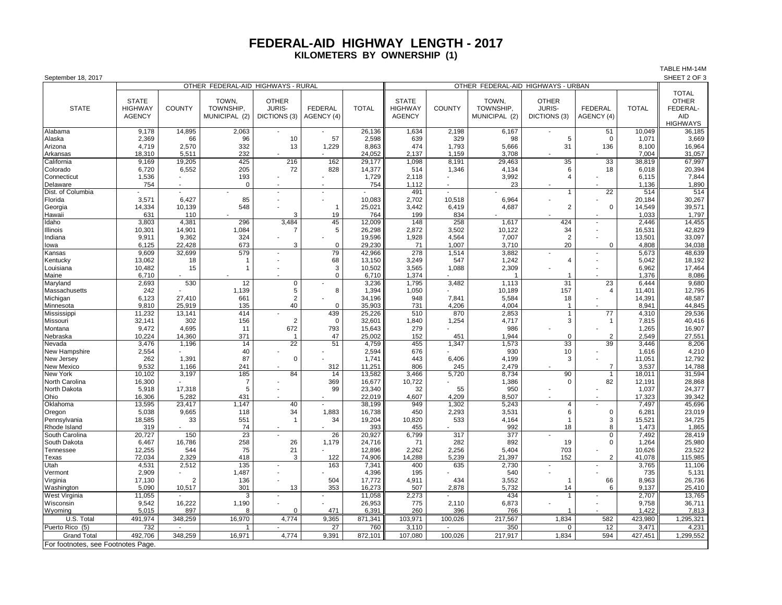## **FEDERAL-AID HIGHWAY LENGTH - 2017 KILOMETERS BY OWNERSHIP (1)**

TABLE HM-14M

| September 18, 2017                 |                                    |                |               |                                   |                |                 |                |                                    |               |                         |                          |                 | SHEET 2 OF 3    |  |
|------------------------------------|------------------------------------|----------------|---------------|-----------------------------------|----------------|-----------------|----------------|------------------------------------|---------------|-------------------------|--------------------------|-----------------|-----------------|--|
|                                    | OTHER FEDERAL-AID HIGHWAYS - RURAL |                |               |                                   |                |                 |                | OTHER FEDERAL-AID HIGHWAYS - URBAN |               |                         |                          |                 |                 |  |
|                                    |                                    |                |               |                                   |                |                 |                |                                    |               |                         |                          |                 | <b>TOTAL</b>    |  |
|                                    | <b>STATE</b>                       |                | TOWN,         | <b>OTHER</b>                      |                |                 | <b>STATE</b>   |                                    | TOWN,         | <b>OTHER</b>            |                          |                 | <b>OTHER</b>    |  |
| <b>STATE</b>                       | <b>HIGHWAY</b>                     | <b>COUNTY</b>  | TOWNSHIP,     | <b>JURIS-</b>                     | <b>FEDERAL</b> | <b>TOTAL</b>    | <b>HIGHWAY</b> | <b>COUNTY</b>                      | TOWNSHIP,     | <b>JURIS-</b>           | <b>FEDERAL</b>           | <b>TOTAL</b>    | FEDERAL-        |  |
|                                    | <b>AGENCY</b>                      |                | MUNICIPAL (2) | DICTIONS (3)                      | AGENCY (4)     |                 | <b>AGENCY</b>  |                                    | MUNICIPAL (2) | DICTIONS (3)            | AGENCY (4)               |                 | <b>AID</b>      |  |
|                                    |                                    |                |               |                                   |                |                 |                |                                    |               |                         |                          |                 | <b>HIGHWAYS</b> |  |
| Alabama                            | 9,178                              | 14,895         | 2,063         |                                   |                | 26,136          | 1,634          | 2,198                              | 6,167         |                         | 51                       | 10,049          | 36,185          |  |
| Alaska                             | 2,369                              | 66             | 96            | 10                                | 57             | 2,598           | 639            | 329                                | 98            | 5                       | $\mathbf 0$              | 1,071           | 3,669           |  |
| Arizona                            | 4,719                              | 2,570          | 332           | 13                                | 1,229          | 8,863           | 474            | 1,793                              | 5,666         | 31                      | 136                      | 8,100           | 16,964          |  |
| Arkansas                           | 18,310                             | 5,511          | 232           |                                   |                | 24,052          | 2,137          | 1,159                              | 3,708         |                         |                          | 7,004           | 31,057          |  |
| California                         | 9,169                              | 19,205         | 425           | 216                               | 162            | 29,177          | 1,098          | 8,191                              | 29,463        | 35                      | 33                       | 38,819          | 67,997          |  |
| Colorado                           | 6,720                              | 6,552          | 205           | 72                                | 828            | 14,377          | 514            | 1,346                              | 4,134         | 6                       | 18                       | 6,018           | 20,394          |  |
| Connecticut                        | 1,536                              |                | 193           |                                   |                | 1,729           | 2,118          |                                    | 3,992         | $\overline{4}$          |                          | 6,115           | 7,844           |  |
| Delaware                           | 754                                |                | $\Omega$      |                                   |                | 754             | 1,112          |                                    | 23            |                         |                          | 1,136           | 1,890           |  |
| Dist. of Columbia                  |                                    |                |               |                                   |                |                 | 491            |                                    |               | $\mathbf{1}$            | $\overline{22}$          | 514             | 514             |  |
| Florida                            | 3,571                              | 6,427          | 85            |                                   |                | 10,083          | 2,702          | 10,518                             | 6,964         |                         |                          | 20,184          | 30,267          |  |
| Georgia                            | 14,334                             | 10,139         | 548           |                                   | $\mathbf{1}$   | 25,021          | 3,442          | 6,419                              | 4,687         | $\overline{2}$          | $\mathbf 0$              | 14,549          | 39,571          |  |
| Hawaii                             | 631                                | 110            |               | 3                                 | 19             | 764             | 199            | 834                                |               |                         |                          | 1,033           | 1,797           |  |
| Idaho                              | 3,803                              | 4,381          | 296           | 3,484                             | 45             | 12,009          | 148            | 258                                | 1,617         | 424                     | $\overline{\phantom{a}}$ | 2.446           | 14,455          |  |
| Illinois                           | 10,301                             | 14,901         | 1,084         |                                   | 5              | 26,298          | 2,872          | 3,502                              | 10,122        | 34                      |                          | 16,531          | 42,829          |  |
| Indiana                            | 9,911                              | 9,362          | 324           |                                   |                | 19,596          | 1,928          | 4,564                              | 7,007         | $\overline{2}$          |                          | 13,501          | 33,097          |  |
| lowa                               | 6,125                              | 22,428         | 673           | 3                                 | $\mathbf 0$    | 29,230          | 71             | 1,007                              | 3,710         | 20                      | $\mathbf 0$              | 4,808           | 34,038          |  |
| Kansas                             | 9,609                              | 32,699         | 579           |                                   | 79             | 42,966          | 278            | 1,514                              | 3,882         |                         |                          | 5,673           | 48,639          |  |
| Kentucky                           | 13,062                             | 18             |               |                                   | 68             | 13,150          | 3,249          | 547                                | 1,242         | $\overline{4}$          |                          | 5,042           | 18,192          |  |
| Louisiana                          | 10,482                             | 15             |               |                                   | 3              | 10,502          | 3,565          | 1,088                              | 2,309         |                         |                          | 6,962           | 17,464          |  |
| Maine                              | 6,710                              |                |               |                                   | 0              | 6,710           | 1,374          |                                    |               |                         |                          | 1,376           | 8,086           |  |
| Maryland                           | 2,693                              | 530            | 12            | 0                                 |                | 3,236           | 1,795          | 3,482                              | 1,113         | 31                      | 23                       | 6,444           | 9,680           |  |
| Massachusetts                      | 242                                |                | 1,139         | 5                                 | 8              | 1,394           | 1,050          |                                    | 10,189        | 157                     | $\overline{4}$           | 11,401          | 12,795          |  |
| Michigan                           | 6,123                              | 27,410         | 661           | $\overline{2}$                    |                | 34,196          | 948            | 7.841                              | 5,584         | 18                      |                          | 14,391          | 48,587          |  |
| Minnesota                          | 9,810                              | 25,919         | 135           | 40                                | $\Omega$       | 35,903          | 731            | 4,206                              | 4,004         | $\mathbf{1}$            |                          | 8,941           | 44,845          |  |
| Mississippi                        | 11,232                             | 13,141         | 414           |                                   | 439            | 25,226          | 510            | 870                                | 2,853         | $\mathbf{1}$            | 77                       | 4,310           | 29,536          |  |
| Missouri                           | 32,141                             | 302            | 156           | $\overline{2}$                    | $\mathbf 0$    | 32,601          | 1,840          | 1,254                              | 4,717         | 3                       |                          | 7,815           | 40,416          |  |
| Montana                            | 9,472                              | 4,695          | 11            | 672                               | 793            | 15,643          | 279            |                                    | 986           |                         |                          | 1,265           | 16,907          |  |
| Nebraska                           | 10,224<br>3,476                    | 14,360         | 371           | $\overline{1}$<br>$\overline{22}$ | 47<br>51       | 25,002<br>4,759 | 152<br>455     | 451                                | 1,944         | $\Omega$<br>33          | $\overline{2}$<br>39     | 2.549<br>3,446  | 27,551<br>8,206 |  |
| Nevada                             |                                    | 1,196          | 14            |                                   |                |                 |                | 1,347                              | 1,573         |                         |                          |                 |                 |  |
| New Hampshire                      | 2,554<br>262                       |                | 40<br>87      | $\Omega$                          |                | 2,594<br>1,741  | 676<br>443     |                                    | 930<br>4,199  | 10<br>3                 |                          | 1,616           | 4,210<br>12,792 |  |
| New Jersey                         | 9,532                              | 1,391<br>1,166 | 241           |                                   | 312            | 11,251          | 806            | 6,406<br>245                       | 2.479         |                         | $\overline{7}$           | 11,051<br>3,537 | 14,788          |  |
| New Mexico<br>New York             | 10,102                             | 3,197          | 185           | 84                                | 14             | 13,582          | 3,466          | 5,720                              | 8,734         | 90                      |                          | 18,011          | 31,594          |  |
| North Carolina                     | 16,300                             |                | 7             |                                   | 369            | 16,677          | 10,722         |                                    | 1,386         | $\Omega$                | 82                       | 12,191          | 28,868          |  |
| North Dakota                       | 5,918                              | 17,318         | 5             |                                   | 99             | 23,340          | 32             | 55                                 | 950           |                         |                          | 1,037           | 24,377          |  |
| Ohio                               | 16,306                             | 5,282          | 431           |                                   |                | 22,019          | 4,607          | 4,209                              | 8,507         |                         |                          | 17,323          | 39,342          |  |
| Oklahoma                           | 13,595                             | 23,417         | 1,147         | 40                                |                | 38,199          | 949            | 1,302                              | 5,243         | 4                       |                          | 7,497           | 45,696          |  |
| Oregon                             | 5,038                              | 9,665          | 118           | 34                                | 1,883          | 16,738          | 450            | 2,293                              | 3,531         | $\,6\,$                 | $\Omega$                 | 6,281           | 23,019          |  |
| Pennsylvania                       | 18,585                             | 33             | 551           | $\overline{\phantom{a}}$          | 34             | 19,204          | 10,820         | 533                                | 4,164         | $\overline{1}$          | 3                        | 15,521          | 34,725          |  |
| Rhode Island                       | 319                                |                | 74            |                                   |                | 393             | 455            |                                    | 992           | 18                      | 8                        | 1,473           | 1,865           |  |
| South Carolina                     | 20,727                             | 150            | 23            |                                   | 26             | 20,927          | 6,799          | 317                                | 377           |                         | $\mathbf 0$              | 7,492           | 28,419          |  |
| South Dakota                       | 6,467                              | 16,786         | 258           | 26                                | 1,179          | 24,716          | 71             | 282                                | 892           | 19                      | $\Omega$                 | 1,264           | 25,980          |  |
| Tennessee                          | 12,255                             | 544            | 75            | 21                                |                | 12,896          | 2,262          | 2,256                              | 5,404         | 703                     |                          | 10,626          | 23,522          |  |
| Texas                              | 72,034                             | 2,329          | 418           | 3                                 | 122            | 74,906          | 14,288         | 5,239                              | 21,397        | 152                     | $\overline{2}$           | 41,078          | 115,985         |  |
| Utah                               | 4,531                              | 2,512          | 135           |                                   | 163            | 7,341           | 400            | 635                                | 2,730         |                         |                          | 3,765           | 11,106          |  |
| Vermont                            | 2,909                              |                | 1,487         |                                   |                | 4,396           | 195            |                                    | 540           |                         |                          | 735             | 5,131           |  |
| Virginia                           | 17,130                             |                | 136           |                                   | 504            | 17,772          | 4,911          | 434                                | 3,552         | $\overline{\mathbf{1}}$ | 66                       | 8,963           | 26,736          |  |
| Washington                         | 5,090                              | 10,517         | 301           | 13                                | 353            | 16,273          | 507            | 2,878                              | 5,732         | 14                      | 6                        | 9,137           | 25,410          |  |
| West Virginia                      | 11,055                             |                | 3             | $\sim$                            |                | 11,058          | 2,273          |                                    | 434           | $\overline{1}$          |                          | 2,707           | 13,765          |  |
| Wisconsin                          | 9,542                              | 16,222         | 1,190         |                                   |                | 26,953          | 775            | 2,110                              | 6,873         |                         |                          | 9,758           | 36,711          |  |
| Wyoming                            | 5.015                              | 897            |               |                                   | 471            | 6,391           | 260            | 396                                | 766           |                         |                          | 1.422           | 7,813           |  |
| U.S. Total                         | 491,974                            | 348,259        | 16,970        | 4,774                             | 9,365          | 871,341         | 103,971        | 100,026                            | 217,567       | 1,834                   | 582                      | 423,980         | 1,295,321       |  |
| Puerto Rico (5)                    | 732                                |                |               |                                   | 27             | 760             | 3,110          |                                    | 350           | $\mathbf 0$             | 12                       | 3,471           | 4,231           |  |
|                                    | 492,706                            | 348,259        | 16,971        | 4,774                             | 9,391          | 872,101         | 107,080        | 100,026                            |               | 1,834                   | 594                      | 427,451         | 1,299,552       |  |
| <b>Grand Total</b>                 |                                    |                |               |                                   |                |                 |                |                                    | 217,917       |                         |                          |                 |                 |  |
| For footnotes, see Footnotes Page. |                                    |                |               |                                   |                |                 |                |                                    |               |                         |                          |                 |                 |  |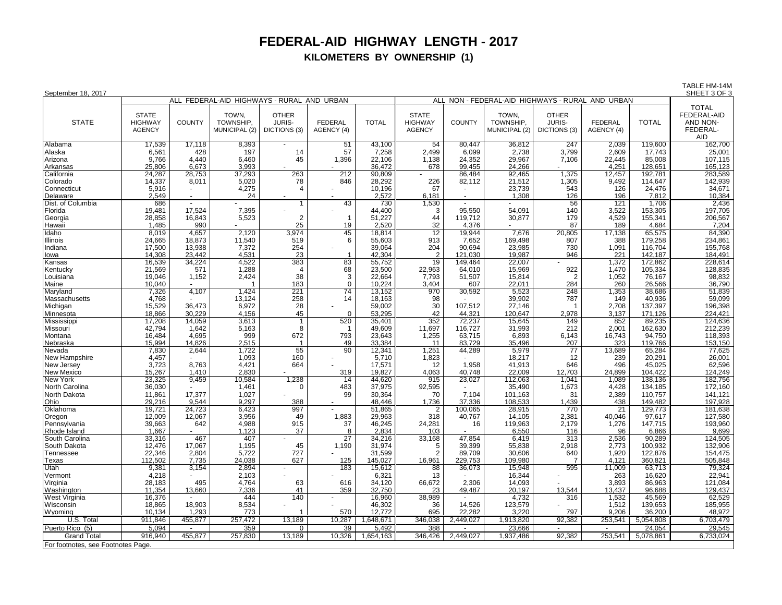## **FEDERAL-AID HIGHWAY LENGTH - 2017 KILOMETERS BY OWNERSHIP (1)**

TABLE HM-14M<br>SHEET 3 OF 3

| September 18, 2017                 |                                                 |                |                                            |                                               |                              |                  |                                                 |           |                                              |                                        |                              |                   | SHEET 3 OF 3                                                          |
|------------------------------------|-------------------------------------------------|----------------|--------------------------------------------|-----------------------------------------------|------------------------------|------------------|-------------------------------------------------|-----------|----------------------------------------------|----------------------------------------|------------------------------|-------------------|-----------------------------------------------------------------------|
|                                    |                                                 |                | ALL FEDERAL-AID HIGHWAYS - RURAL AND URBAN |                                               |                              |                  | ALL                                             |           | NON - FEDERAL-AID HIGHWAYS - RURAL AND URBAN |                                        |                              |                   |                                                                       |
| <b>STATE</b>                       | <b>STATE</b><br><b>HIGHWAY</b><br><b>AGENCY</b> | <b>COUNTY</b>  | TOWN.<br>TOWNSHIP,<br>MUNICIPAL (2)        | <b>OTHER</b><br><b>JURIS-</b><br>DICTIONS (3) | <b>FEDERAL</b><br>AGENCY (4) | <b>TOTAL</b>     | <b>STATE</b><br><b>HIGHWAY</b><br><b>AGENCY</b> | COUNTY    | TOWN,<br>TOWNSHIP,<br>MUNICIPAL (2)          | <b>OTHER</b><br>JURIS-<br>DICTIONS (3) | <b>FEDERAL</b><br>AGENCY (4) | <b>TOTAL</b>      | <b>TOTAL</b><br>FEDERAL-AID<br>AND NON-<br>FEDERAL-<br><b>AID</b>     |
| Alabama                            | 17,539                                          | 17,118         | 8,393                                      |                                               | 51                           | 43,100           | 54                                              | 80,447    | 36,812                                       | 247                                    | 2,039                        | 119,600           | 162,700                                                               |
| Alaska                             | 6,561                                           | 428            | 197                                        | 14                                            | 57                           | 7,258            | 2,499                                           | 6,099     | 2,738                                        | 3,799                                  | 2,609                        | 17,743            | 25,001                                                                |
| Arizona                            | 9,766                                           | 4,440          | 6,460                                      | 45                                            | 1,396                        | 22,106           | 1,138                                           | 24,352    | 29,967                                       | 7,106                                  | 22,445                       | 85,008            | 107,115                                                               |
| Arkansas                           | 25,806                                          | 6,673          | 3.993                                      |                                               |                              | 36.472           | 678                                             | 99.455    | 24,266                                       |                                        | 4,251                        | 128,651           | 165,123<br>283,589                                                    |
| California                         | 24,287                                          | 28,753         | 37,293                                     | 263                                           | 212                          | 90,809           |                                                 | 86,484    | 92,465                                       | 1,375                                  | 12,457                       | 192,781           |                                                                       |
| Colorado                           | 14,337                                          | 8,011          | 5,020                                      | 78                                            | 846                          | 28,292           | 226                                             | 82,112    | 21,512                                       | 1,305                                  | 9,492                        | 114,647           | 142,939                                                               |
| Connecticut                        | 5,916                                           |                | 4,275                                      | $\overline{4}$                                |                              | 10,196           | 67                                              |           | 23,739                                       | 543                                    | 126                          | 24,476            | 34,671                                                                |
| Delaware                           | 2,549                                           | $\blacksquare$ | 24                                         |                                               |                              | 2,572            | 6.181                                           |           | 1,308                                        | 126                                    | 196                          | 7,812             | 10,384                                                                |
| Dist. of Columbia                  | 686<br>19,481                                   | 17,524         | 7,395                                      | $\mathbf{1}$                                  | 43                           | 730<br>44,400    | 1,530<br>3                                      | 95,550    | 54,091                                       | 56<br>140                              | 121<br>3,522                 | 1,706<br>153,305  | 2,436<br>197,705                                                      |
| Florida<br>Georgia                 | 28,858                                          | 16,843         | 5,523                                      | $\overline{2}$                                | $\overline{1}$               | 51,227           | 44                                              | 119,712   | 30,877                                       | 179                                    | 4,529                        | 155,341           | 206,567                                                               |
| Hawaii                             | 1,485                                           | 990            |                                            | 25                                            | 19                           | 2,520            | 32                                              | 4,376     |                                              | 87                                     | 189                          | 4.684             | 7,204                                                                 |
| Idaho                              | 8,019                                           | 4,657          | 2,120                                      | 3,974                                         | 45                           | 18,814           | 12                                              | 19,944    | 7,676                                        | 20,805                                 | 17,138                       | 65,575            | 84,390                                                                |
| Illinois                           | 24,665                                          | 18,873         | 11,540                                     | 519                                           | 6                            | 55,603           | 913                                             | 7,652     | 169,498                                      | 807                                    | 388                          | 179,258           | 234,861                                                               |
| Indiana                            | 17,500                                          | 13,938         | 7,372                                      | 254                                           |                              | 39,064           | 204                                             | 90,694    | 23,985                                       | 730                                    | 1,091                        | 116,704           | 155,768                                                               |
| lowa                               | 14,308                                          | 23,442         | 4,531                                      | 23                                            | $\mathbf{1}$                 | 42,304           | $\overline{2}$                                  | 121.030   | 19,987                                       | 946                                    | 221                          | 142,187           | 184,491                                                               |
| Kansas                             | 16,539                                          | 34,224         | 4,522                                      | 383                                           | 83                           | 55,752           | 19                                              | 149,464   | 22,007                                       |                                        | 1,372                        | 172,862           | 228,614                                                               |
| Kentucky                           | 21,569                                          | 571            | 1,288                                      | $\overline{4}$                                | 68                           | 23,500           | 22,963                                          | 64,010    | 15,969                                       | 922                                    | 1,470                        | 105,334           |                                                                       |
| Louisiana                          | 19,046                                          | 1,152          | 2,424                                      | 38                                            | 3                            | 22,664           | 7,793                                           | 51,507    | 15,814                                       | $\overline{2}$                         | 1,052                        | 76,167            | 128,835<br>98,832                                                     |
| Maine                              | 10,040                                          |                |                                            | 183                                           | $\mathbf 0$                  | 10,224           | 3,404                                           | 607       | 22,011                                       | 284                                    | 260                          | 26,566            | 36,790                                                                |
| Maryland                           | 7,326                                           | 4,107          | 1,424                                      | 221                                           | $\overline{74}$              | 13,152           | 970                                             | 30,592    | 5,523                                        | 248                                    | 1,353                        | 38,686            | 51,839                                                                |
| Massachusetts                      | 4,768                                           |                | 13,124                                     | 258                                           | 14                           | 18,163           | 98                                              |           | 39,902                                       | 787                                    | 149                          | 40,936            |                                                                       |
| Michigan                           | 15,529                                          | 36,473         | 6,972                                      | 28                                            |                              | 59,002           | 30                                              | 107,512   | 27,146                                       |                                        | 2,708                        | 137,397           | 59,099<br>59,099<br>196,398<br>224,421                                |
| Minnesota                          | 18,866                                          | 30,229         | 4,156                                      | 45                                            | $\Omega$                     | 53,295           | 42                                              | 44,321    | 120,647                                      | 2,978                                  | 3,137                        | 171,126           |                                                                       |
| Mississippi                        | 17,208                                          | 14,059         | 3,613                                      | -1                                            | 520                          | 35,401           | 352                                             | 72,237    | 15,645                                       | 149                                    | 852                          | 89,235            | 124,636                                                               |
| Missouri                           | 42,794                                          | 1,642          | 5,163                                      | 8                                             | -1                           | 49,609           | 11,697                                          | 116,727   | 31,993                                       | 212                                    | 2,001                        | 162,630           | 212,239                                                               |
| Montana                            | 16,484                                          | 4,695          | 999                                        | 672<br>$\overline{1}$                         | 793                          | 23,643           | 1,255                                           | 63,715    | 6,893                                        | 6,143                                  | 16,743                       | 94,750            |                                                                       |
| Nebraska                           | 15.994                                          | 14,826         | 2,515                                      | 55                                            | 49                           | 33,384           | 11                                              | 83.729    | 35,496                                       | 207                                    | 323                          | 119.766           | $\frac{118,393}{118,393}$ $\frac{153,150}{77,625}$                    |
| Nevada<br>New Hampshire            | 7,830<br>4,457                                  | 2,644          | 1,722<br>1,093                             | 160                                           | 90                           | 12,341<br>5,710  | 1,251<br>1,823                                  | 44,289    | 5,979<br>18,217                              | 77<br>12                               | 13,689<br>239                | 65,284<br>20,291  | 26,001                                                                |
| New Jersey                         | 3,723                                           | 8,763          | 4,421                                      | 664                                           |                              | 17,571           | 12                                              | 1,958     | 41,913                                       | 646                                    | 496                          | 45,025            |                                                                       |
| <b>New Mexico</b>                  | 15,267                                          | 1.410          | 2.830                                      |                                               | 319                          | 19,827           | 4,063                                           | 40.748    | 22.009                                       | 12.703                                 | 24.899                       | 104.422           |                                                                       |
| New York                           | 23,325                                          | 9,459          | 10,584                                     | 1,238                                         | 14                           | 44,620           | 915                                             | 23,027    | 112,063                                      | 1,041                                  | 1,089                        | 138,136           | $\begin{array}{r} 62,596 \\ 62,596 \\ 124,249 \\ 182,756 \end{array}$ |
| North Carolina                     | 36,030                                          |                | 1,461                                      | $\mathbf 0$                                   | 483                          | 37,975           | 92,595                                          |           | 35,490                                       | 1,673                                  | 4,428                        | 134,185           | 172,160                                                               |
| North Dakota                       | 11,861                                          | 17,377         | 1,027                                      |                                               | 99                           | 30,364           | 70                                              | 7,104     | 101,163                                      | 31                                     | 2,389                        | 110,757           | 141,121                                                               |
| Ohio                               | 29,216                                          | 9,544          | 9,297                                      | 388                                           |                              | 48,446           | 1,736                                           | 37,336    | 108,533                                      | 1,439                                  | 438                          | 149,482           | 197,928                                                               |
| Oklahoma                           | 19,721                                          | 24,723         | 6,423                                      | 997                                           |                              | 51,865           | 2                                               | 100,065   | 28,915                                       | 770                                    | 21                           | 129,773           | 181,638                                                               |
| Oregon                             | 12,009                                          | 12,067         | 3,956                                      | 49                                            | 1,883                        | 29,963           | 318                                             | 40,767    | 14,105                                       | 2,381                                  | 40,046                       | 97,617            | 127,580                                                               |
| Pennsylvania                       | 39,663                                          | 642            | 4,988                                      | 915                                           | 37                           | 46,245           | 24,281                                          | 16        | 119,963                                      | 2,179                                  | 1,276                        | 147,715           | 193,960                                                               |
| Rhode Island                       | 1,667                                           |                | 1,123                                      | 37                                            | 8                            | 2,834            | 103                                             |           | 6,550                                        | 116                                    | 96                           | 6,866             | 9,699                                                                 |
| South Carolina                     | 33,316                                          | 467            | 407                                        |                                               | $\overline{27}$              | 34,216           | 33,168                                          | 47,854    | 6,419                                        | 313                                    | 2,536                        | 90,289            | 124,505                                                               |
| South Dakota                       | 12,476                                          | 17,067         | 1,195                                      | 45                                            | 1,190                        | 31,974           | 5                                               | 39,399    | 55,838                                       | 2,918                                  | 2,773                        | 100,932           | 132,906                                                               |
| Tennessee                          | 22,346                                          | 2,804          | 5,722                                      | 727                                           |                              | 31,599           | $\overline{2}$                                  | 89,709    | 30,606                                       | 640                                    | 1,920                        | 122,876           | 154,475                                                               |
| Texas                              | 112,502                                         | 7,735          | 24,038                                     | 627                                           | 125                          | 145,027          | 16,961                                          | 229,753   | 109,980                                      | $\overline{7}$                         | 4,121                        | 360,821           | 505,848                                                               |
| Utah                               | 9,381                                           | 3,154          | 2,894                                      |                                               | 183                          | 15,612           | 88                                              | 36,073    | 15,948                                       | 595                                    | 11,009                       | 63,713            | 79,324                                                                |
| Vermont                            | 4,218                                           |                | 2,103                                      |                                               |                              | 6,321            | 13                                              |           | 16,344                                       |                                        | 263                          | 16,620            | 22,941<br>121,084                                                     |
| Virginia                           | 28,183<br>11,354                                | 495            | 4,764                                      | 63<br>41                                      | 616<br>359                   | 34,120<br>32,750 | 66,672                                          | 2,306     | 14,093<br>20,197                             |                                        | 3,893<br>13,437              | 86,963            | 129,437                                                               |
| Washington                         |                                                 | 13,660         | 7,336<br>444                               | 140                                           |                              |                  | 23                                              | 49,487    |                                              | 13,544<br>316                          | 1.532                        | 96,688            |                                                                       |
| West Virginia<br>Wisconsin         | 16,376<br>18,865                                | 18,903         | 8,534                                      |                                               |                              | 16,960<br>46,302 | 38,989<br>36                                    | 14,526    | 4,732<br>123,579                             |                                        | 1,512                        | 45,569<br>139,653 | 62,529<br>185,955                                                     |
| Wyoming                            | 10.134                                          | 1,293          | 773                                        |                                               | 570                          | 12,772           | 695                                             | 22,282    | 3,220                                        | 797                                    | 9,206                        | 36,200            | 48,972                                                                |
| U.S. Total                         | 911,846                                         | 455,877        | 257,472                                    | 13,189                                        | 10,287                       | 1,648,671        | 346,038                                         | 2,449,027 | 1,913,820                                    | 92,382                                 | 253,541                      | 5,054,808         | 6,703,479                                                             |
| Puerto Rico (5)                    | 5,094                                           | $\sim$         | 359                                        | $\mathbf 0$                                   | 39                           | 5,492            | 388                                             |           |                                              |                                        | $\sim$                       | 24,054            | 29,545                                                                |
| Grand Total                        | 916.940                                         | 455,877        | 257,830                                    | 13,189                                        | 10,326                       |                  | 346,426                                         | 2,449,027 | 23,666<br>1,937,486                          | 92,382                                 | 253,541                      | 5,078,861         | 6,733,024                                                             |
|                                    |                                                 |                |                                            |                                               |                              | 1,654,163        |                                                 |           |                                              |                                        |                              |                   |                                                                       |
| For footnotes, see Footnotes Page. |                                                 |                |                                            |                                               |                              |                  |                                                 |           |                                              |                                        |                              |                   |                                                                       |